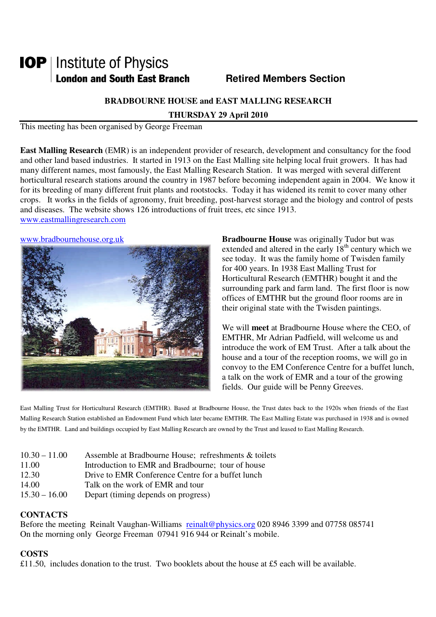# **IOP** | Institute of Physics **London and South East Branch Famely Retired Members Section**

## **BRADBOURNE HOUSE and EAST MALLING RESEARCH**

**THURSDAY 29 April 2010** 

This meeting has been organised by George Freeman

**East Malling Research** (EMR) is an independent provider of research, development and consultancy for the food and other land based industries. It started in 1913 on the East Malling site helping local fruit growers. It has had many different names, most famously, the East Malling Research Station. It was merged with several different horticultural research stations around the country in 1987 before becoming independent again in 2004. We know it for its breeding of many different fruit plants and rootstocks. Today it has widened its remit to cover many other crops. It works in the fields of agronomy, fruit breeding, post-harvest storage and the biology and control of pests and diseases. The website shows 126 introductions of fruit trees, etc since 1913. www.eastmallingresearch.com



www.bradbournehouse.org.uk **Bradbourne House** was originally Tudor but was extended and altered in the early  $18<sup>th</sup>$  century which we see today. It was the family home of Twisden family for 400 years. In 1938 East Malling Trust for Horticultural Research (EMTHR) bought it and the surrounding park and farm land. The first floor is now offices of EMTHR but the ground floor rooms are in their original state with the Twisden paintings.

> We will **meet** at Bradbourne House where the CEO, of EMTHR, Mr Adrian Padfield, will welcome us and introduce the work of EM Trust. After a talk about the house and a tour of the reception rooms, we will go in convoy to the EM Conference Centre for a buffet lunch, a talk on the work of EMR and a tour of the growing fields. Our guide will be Penny Greeves.

East Malling Trust for Horticultural Research (EMTHR). Based at Bradbourne House, the Trust dates back to the 1920s when friends of the East Malling Research Station established an Endowment Fund which later became EMTHR. The East Malling Estate was purchased in 1938 and is owned by the EMTHR. Land and buildings occupied by East Malling Research are owned by the Trust and leased to East Malling Research.

| $10.30 - 11.00$ | Assemble at Bradbourne House; refreshments & toilets |
|-----------------|------------------------------------------------------|
| 11.00           | Introduction to EMR and Bradbourne; tour of house    |
| 12.30           | Drive to EMR Conference Centre for a buffet lunch    |
| 14.00           | Talk on the work of EMR and tour                     |
| $15.30 - 16.00$ | Depart (timing depends on progress)                  |

### **CONTACTS**

Before the meeting Reinalt Vaughan-Williams reinalt@physics.org 020 8946 3399 and 07758 085741 On the morning only George Freeman 07941 916 944 or Reinalt's mobile.

### **COSTS**

£11.50, includes donation to the trust. Two booklets about the house at £5 each will be available.